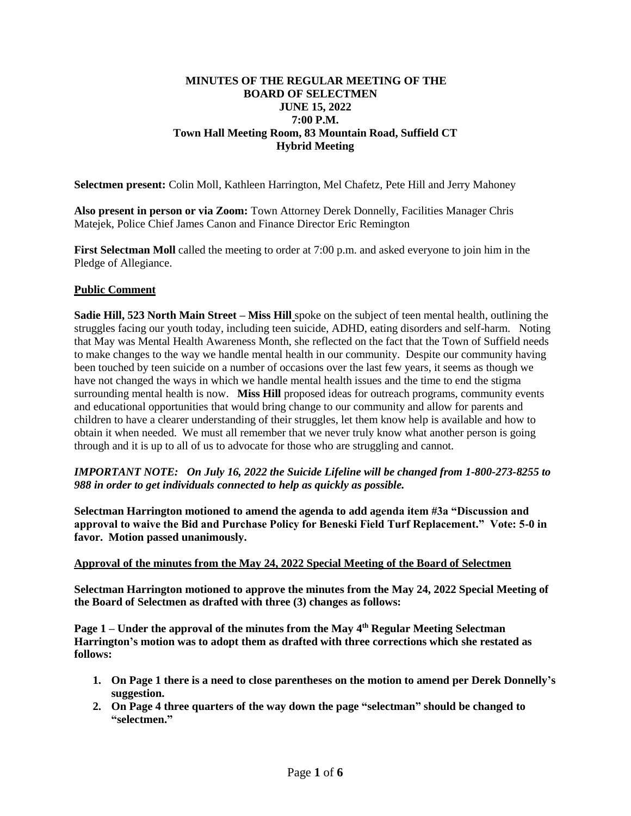## **MINUTES OF THE REGULAR MEETING OF THE BOARD OF SELECTMEN JUNE 15, 2022 7:00 P.M. Town Hall Meeting Room, 83 Mountain Road, Suffield CT Hybrid Meeting**

**Selectmen present:** Colin Moll, Kathleen Harrington, Mel Chafetz, Pete Hill and Jerry Mahoney

**Also present in person or via Zoom:** Town Attorney Derek Donnelly, Facilities Manager Chris Matejek, Police Chief James Canon and Finance Director Eric Remington

**First Selectman Moll** called the meeting to order at 7:00 p.m. and asked everyone to join him in the Pledge of Allegiance.

## **Public Comment**

**Sadie Hill, 523 North Main Street – Miss Hill** spoke on the subject of teen mental health, outlining the struggles facing our youth today, including teen suicide, ADHD, eating disorders and self-harm. Noting that May was Mental Health Awareness Month, she reflected on the fact that the Town of Suffield needs to make changes to the way we handle mental health in our community. Despite our community having been touched by teen suicide on a number of occasions over the last few years, it seems as though we have not changed the ways in which we handle mental health issues and the time to end the stigma surrounding mental health is now. **Miss Hill** proposed ideas for outreach programs, community events and educational opportunities that would bring change to our community and allow for parents and children to have a clearer understanding of their struggles, let them know help is available and how to obtain it when needed. We must all remember that we never truly know what another person is going through and it is up to all of us to advocate for those who are struggling and cannot.

*IMPORTANT NOTE: On July 16, 2022 the Suicide Lifeline will be changed from 1-800-273-8255 to 988 in order to get individuals connected to help as quickly as possible.* 

**Selectman Harrington motioned to amend the agenda to add agenda item #3a "Discussion and approval to waive the Bid and Purchase Policy for Beneski Field Turf Replacement." Vote: 5-0 in favor. Motion passed unanimously.**

## **Approval of the minutes from the May 24, 2022 Special Meeting of the Board of Selectmen**

**Selectman Harrington motioned to approve the minutes from the May 24, 2022 Special Meeting of the Board of Selectmen as drafted with three (3) changes as follows:** 

Page 1 – Under the approval of the minutes from the May 4<sup>th</sup> Regular Meeting Selectman **Harrington's motion was to adopt them as drafted with three corrections which she restated as follows:**

- **1. On Page 1 there is a need to close parentheses on the motion to amend per Derek Donnelly's suggestion.**
- **2. On Page 4 three quarters of the way down the page "selectman" should be changed to "selectmen."**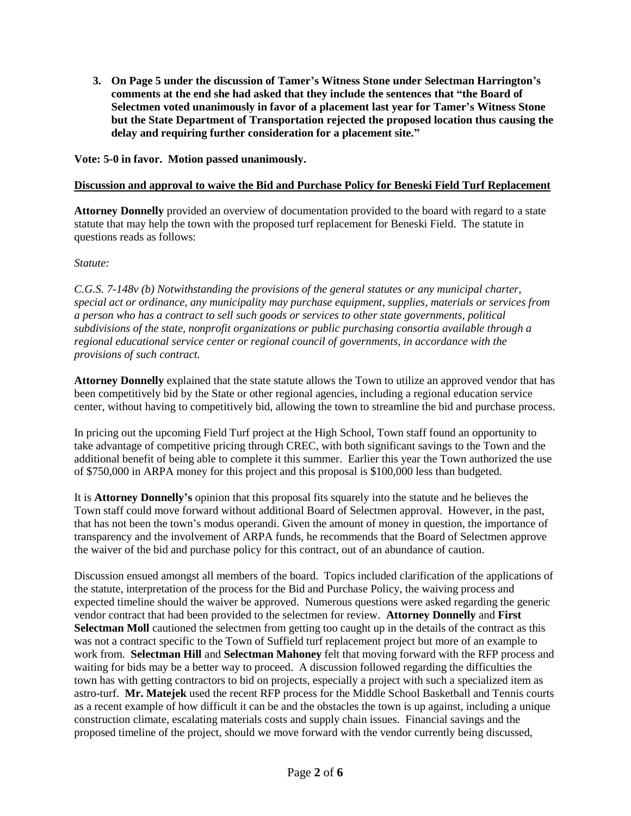**3. On Page 5 under the discussion of Tamer's Witness Stone under Selectman Harrington's comments at the end she had asked that they include the sentences that "the Board of Selectmen voted unanimously in favor of a placement last year for Tamer's Witness Stone but the State Department of Transportation rejected the proposed location thus causing the delay and requiring further consideration for a placement site."**

**Vote: 5-0 in favor. Motion passed unanimously.**

## **Discussion and approval to waive the Bid and Purchase Policy for Beneski Field Turf Replacement**

**Attorney Donnelly** provided an overview of documentation provided to the board with regard to a state statute that may help the town with the proposed turf replacement for Beneski Field. The statute in questions reads as follows:

## *Statute:*

*C.G.S. 7-148v (b) Notwithstanding the provisions of the general statutes or any municipal charter, special act or ordinance, any municipality may purchase equipment, supplies, materials or services from a person who has a contract to sell such goods or services to other state governments, political subdivisions of the state, nonprofit organizations or public purchasing consortia available through a regional educational service center or regional council of governments, in accordance with the provisions of such contract.*

**Attorney Donnelly** explained that the state statute allows the Town to utilize an approved vendor that has been competitively bid by the State or other regional agencies, including a regional education service center, without having to competitively bid, allowing the town to streamline the bid and purchase process.

In pricing out the upcoming Field Turf project at the High School, Town staff found an opportunity to take advantage of competitive pricing through CREC, with both significant savings to the Town and the additional benefit of being able to complete it this summer. Earlier this year the Town authorized the use of \$750,000 in ARPA money for this project and this proposal is \$100,000 less than budgeted.

It is **Attorney Donnelly's** opinion that this proposal fits squarely into the statute and he believes the Town staff could move forward without additional Board of Selectmen approval. However, in the past, that has not been the town's modus operandi. Given the amount of money in question, the importance of transparency and the involvement of ARPA funds, he recommends that the Board of Selectmen approve the waiver of the bid and purchase policy for this contract, out of an abundance of caution.

Discussion ensued amongst all members of the board. Topics included clarification of the applications of the statute, interpretation of the process for the Bid and Purchase Policy, the waiving process and expected timeline should the waiver be approved. Numerous questions were asked regarding the generic vendor contract that had been provided to the selectmen for review. **Attorney Donnelly** and **First Selectman Moll** cautioned the selectmen from getting too caught up in the details of the contract as this was not a contract specific to the Town of Suffield turf replacement project but more of an example to work from. **Selectman Hill** and **Selectman Mahoney** felt that moving forward with the RFP process and waiting for bids may be a better way to proceed. A discussion followed regarding the difficulties the town has with getting contractors to bid on projects, especially a project with such a specialized item as astro-turf. **Mr. Matejek** used the recent RFP process for the Middle School Basketball and Tennis courts as a recent example of how difficult it can be and the obstacles the town is up against, including a unique construction climate, escalating materials costs and supply chain issues. Financial savings and the proposed timeline of the project, should we move forward with the vendor currently being discussed,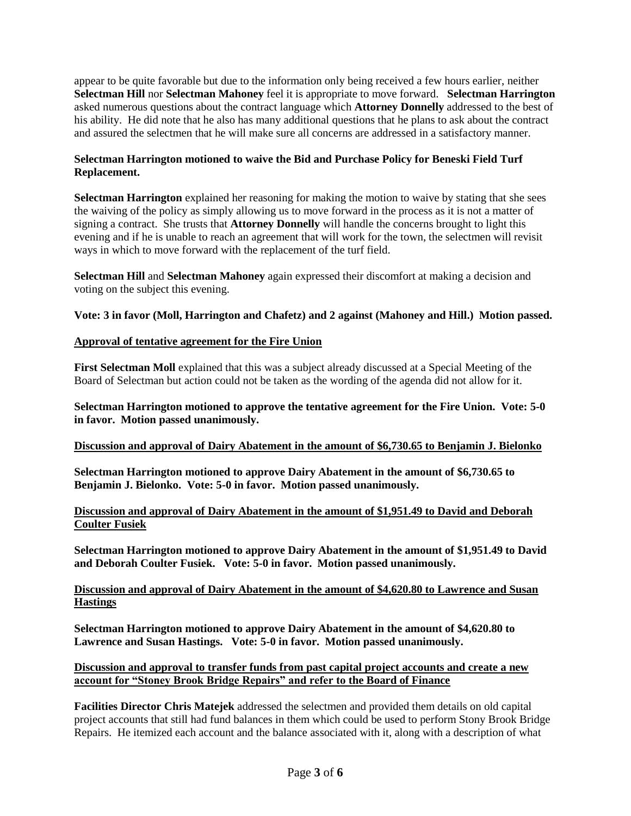appear to be quite favorable but due to the information only being received a few hours earlier, neither **Selectman Hill** nor **Selectman Mahoney** feel it is appropriate to move forward. **Selectman Harrington**  asked numerous questions about the contract language which **Attorney Donnelly** addressed to the best of his ability. He did note that he also has many additional questions that he plans to ask about the contract and assured the selectmen that he will make sure all concerns are addressed in a satisfactory manner.

# **Selectman Harrington motioned to waive the Bid and Purchase Policy for Beneski Field Turf Replacement.**

**Selectman Harrington** explained her reasoning for making the motion to waive by stating that she sees the waiving of the policy as simply allowing us to move forward in the process as it is not a matter of signing a contract. She trusts that **Attorney Donnelly** will handle the concerns brought to light this evening and if he is unable to reach an agreement that will work for the town, the selectmen will revisit ways in which to move forward with the replacement of the turf field.

**Selectman Hill** and **Selectman Mahoney** again expressed their discomfort at making a decision and voting on the subject this evening.

# **Vote: 3 in favor (Moll, Harrington and Chafetz) and 2 against (Mahoney and Hill.) Motion passed.**

## **Approval of tentative agreement for the Fire Union**

**First Selectman Moll** explained that this was a subject already discussed at a Special Meeting of the Board of Selectman but action could not be taken as the wording of the agenda did not allow for it.

**Selectman Harrington motioned to approve the tentative agreement for the Fire Union. Vote: 5-0 in favor. Motion passed unanimously.** 

## **Discussion and approval of Dairy Abatement in the amount of \$6,730.65 to Benjamin J. Bielonko**

**Selectman Harrington motioned to approve Dairy Abatement in the amount of \$6,730.65 to Benjamin J. Bielonko. Vote: 5-0 in favor. Motion passed unanimously.**

## **Discussion and approval of Dairy Abatement in the amount of \$1,951.49 to David and Deborah Coulter Fusiek**

**Selectman Harrington motioned to approve Dairy Abatement in the amount of \$1,951.49 to David and Deborah Coulter Fusiek. Vote: 5-0 in favor. Motion passed unanimously.**

## **Discussion and approval of Dairy Abatement in the amount of \$4,620.80 to Lawrence and Susan Hastings**

**Selectman Harrington motioned to approve Dairy Abatement in the amount of \$4,620.80 to Lawrence and Susan Hastings. Vote: 5-0 in favor. Motion passed unanimously.**

## **Discussion and approval to transfer funds from past capital project accounts and create a new account for "Stoney Brook Bridge Repairs" and refer to the Board of Finance**

**Facilities Director Chris Matejek** addressed the selectmen and provided them details on old capital project accounts that still had fund balances in them which could be used to perform Stony Brook Bridge Repairs. He itemized each account and the balance associated with it, along with a description of what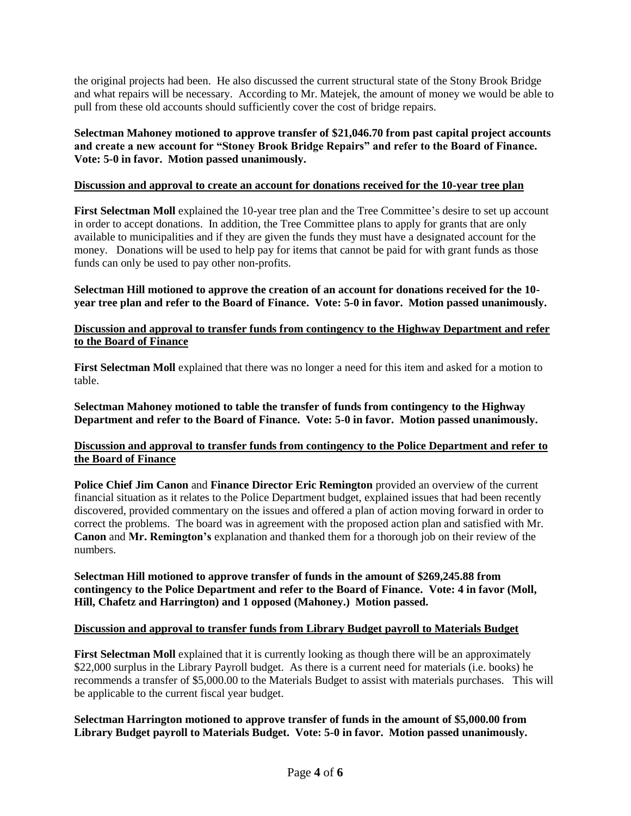the original projects had been. He also discussed the current structural state of the Stony Brook Bridge and what repairs will be necessary. According to Mr. Matejek, the amount of money we would be able to pull from these old accounts should sufficiently cover the cost of bridge repairs.

**Selectman Mahoney motioned to approve transfer of \$21,046.70 from past capital project accounts and create a new account for "Stoney Brook Bridge Repairs" and refer to the Board of Finance. Vote: 5-0 in favor. Motion passed unanimously.**

## **Discussion and approval to create an account for donations received for the 10-year tree plan**

**First Selectman Moll** explained the 10-year tree plan and the Tree Committee's desire to set up account in order to accept donations. In addition, the Tree Committee plans to apply for grants that are only available to municipalities and if they are given the funds they must have a designated account for the money. Donations will be used to help pay for items that cannot be paid for with grant funds as those funds can only be used to pay other non-profits.

## **Selectman Hill motioned to approve the creation of an account for donations received for the 10 year tree plan and refer to the Board of Finance. Vote: 5-0 in favor. Motion passed unanimously.**

## **Discussion and approval to transfer funds from contingency to the Highway Department and refer to the Board of Finance**

**First Selectman Moll** explained that there was no longer a need for this item and asked for a motion to table.

**Selectman Mahoney motioned to table the transfer of funds from contingency to the Highway Department and refer to the Board of Finance. Vote: 5-0 in favor. Motion passed unanimously.**

## **Discussion and approval to transfer funds from contingency to the Police Department and refer to the Board of Finance**

**Police Chief Jim Canon** and **Finance Director Eric Remington** provided an overview of the current financial situation as it relates to the Police Department budget, explained issues that had been recently discovered, provided commentary on the issues and offered a plan of action moving forward in order to correct the problems. The board was in agreement with the proposed action plan and satisfied with Mr. **Canon** and **Mr. Remington's** explanation and thanked them for a thorough job on their review of the numbers.

**Selectman Hill motioned to approve transfer of funds in the amount of \$269,245.88 from contingency to the Police Department and refer to the Board of Finance. Vote: 4 in favor (Moll, Hill, Chafetz and Harrington) and 1 opposed (Mahoney.) Motion passed.**

## **Discussion and approval to transfer funds from Library Budget payroll to Materials Budget**

**First Selectman Moll** explained that it is currently looking as though there will be an approximately \$22,000 surplus in the Library Payroll budget. As there is a current need for materials (i.e. books) he recommends a transfer of \$5,000.00 to the Materials Budget to assist with materials purchases. This will be applicable to the current fiscal year budget.

## **Selectman Harrington motioned to approve transfer of funds in the amount of \$5,000.00 from Library Budget payroll to Materials Budget. Vote: 5-0 in favor. Motion passed unanimously.**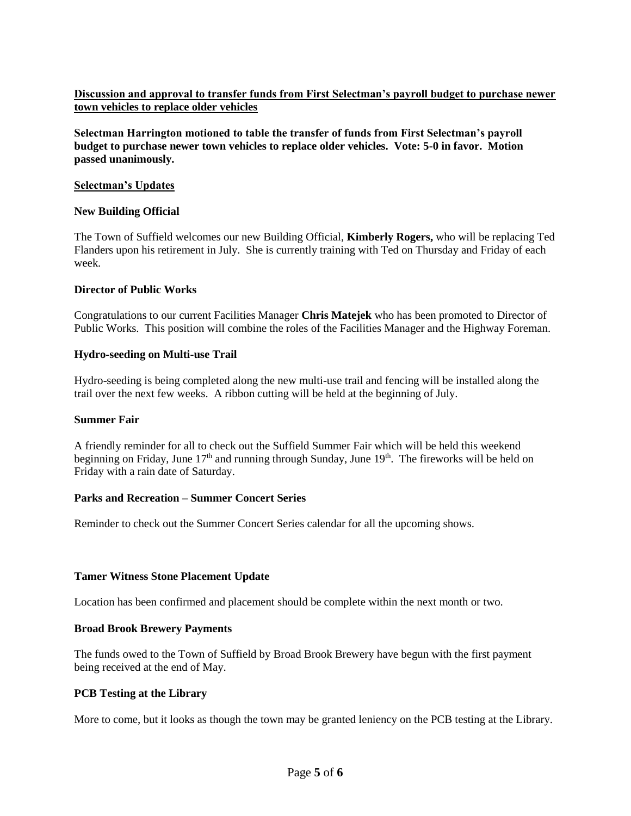# **Discussion and approval to transfer funds from First Selectman's payroll budget to purchase newer town vehicles to replace older vehicles**

**Selectman Harrington motioned to table the transfer of funds from First Selectman's payroll budget to purchase newer town vehicles to replace older vehicles. Vote: 5-0 in favor. Motion passed unanimously.**

#### **Selectman's Updates**

#### **New Building Official**

The Town of Suffield welcomes our new Building Official, **Kimberly Rogers,** who will be replacing Ted Flanders upon his retirement in July. She is currently training with Ted on Thursday and Friday of each week.

#### **Director of Public Works**

Congratulations to our current Facilities Manager **Chris Matejek** who has been promoted to Director of Public Works. This position will combine the roles of the Facilities Manager and the Highway Foreman.

## **Hydro-seeding on Multi-use Trail**

Hydro-seeding is being completed along the new multi-use trail and fencing will be installed along the trail over the next few weeks. A ribbon cutting will be held at the beginning of July.

#### **Summer Fair**

A friendly reminder for all to check out the Suffield Summer Fair which will be held this weekend beginning on Friday, June  $17<sup>th</sup>$  and running through Sunday, June  $19<sup>th</sup>$ . The fireworks will be held on Friday with a rain date of Saturday.

#### **Parks and Recreation – Summer Concert Series**

Reminder to check out the Summer Concert Series calendar for all the upcoming shows.

## **Tamer Witness Stone Placement Update**

Location has been confirmed and placement should be complete within the next month or two.

## **Broad Brook Brewery Payments**

The funds owed to the Town of Suffield by Broad Brook Brewery have begun with the first payment being received at the end of May.

## **PCB Testing at the Library**

More to come, but it looks as though the town may be granted leniency on the PCB testing at the Library.